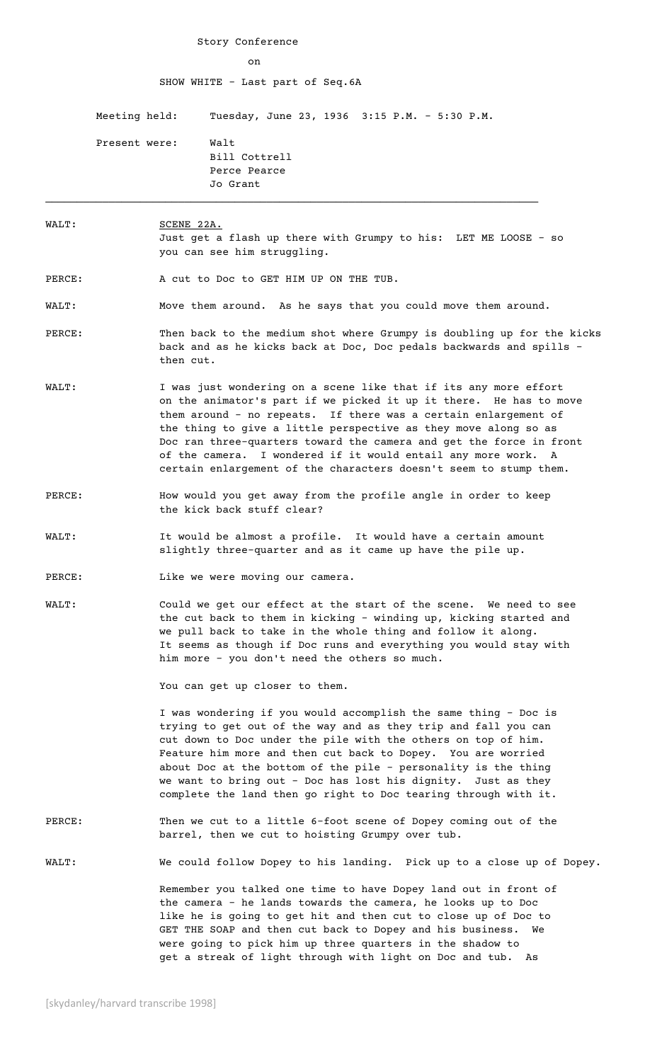Story Conference on SHOW WHITE - Last part of Seq.6A Meeting held: Tuesday, June 23, 1936 3:15 P.M. - 5:30 P.M. Present were: Walt Bill Cottrell Perce Pearce Jo Grant  $\mathcal{L}_\mathcal{L} = \mathcal{L}_\mathcal{L} = \mathcal{L}_\mathcal{L} = \mathcal{L}_\mathcal{L} = \mathcal{L}_\mathcal{L} = \mathcal{L}_\mathcal{L} = \mathcal{L}_\mathcal{L} = \mathcal{L}_\mathcal{L} = \mathcal{L}_\mathcal{L} = \mathcal{L}_\mathcal{L} = \mathcal{L}_\mathcal{L} = \mathcal{L}_\mathcal{L} = \mathcal{L}_\mathcal{L} = \mathcal{L}_\mathcal{L} = \mathcal{L}_\mathcal{L} = \mathcal{L}_\mathcal{L} = \mathcal{L}_\mathcal{L}$ 

# WALT: SCENE 22A. Just get a flash up there with Grumpy to his: LET ME LOOSE - so you can see him struggling.

PERCE: A cut to Doc to GET HIM UP ON THE TUB.

WALT: Move them around. As he says that you could move them around.

- PERCE: Then back to the medium shot where Grumpy is doubling up for the kicks back and as he kicks back at Doc, Doc pedals backwards and spills then cut.
- WALT: I was just wondering on a scene like that if its any more effort on the animator's part if we picked it up it there. He has to move them around - no repeats. If there was a certain enlargement of the thing to give a little perspective as they move along so as Doc ran three-quarters toward the camera and get the force in front of the camera. I wondered if it would entail any more work. A certain enlargement of the characters doesn't seem to stump them.
- PERCE: How would you get away from the profile angle in order to keep the kick back stuff clear?
- WALT: It would be almost a profile. It would have a certain amount slightly three-quarter and as it came up have the pile up.

PERCE: Like we were moving our camera.

WALT: Could we get our effect at the start of the scene. We need to see the cut back to them in kicking - winding up, kicking started and we pull back to take in the whole thing and follow it along. It seems as though if Doc runs and everything you would stay with him more - you don't need the others so much.

You can get up closer to them.

I was wondering if you would accomplish the same thing - Doc is trying to get out of the way and as they trip and fall you can cut down to Doc under the pile with the others on top of him. Feature him more and then cut back to Dopey. You are worried about Doc at the bottom of the pile - personality is the thing we want to bring out - Doc has lost his dignity. Just as they complete the land then go right to Doc tearing through with it.

## PERCE: Then we cut to a little 6-foot scene of Dopey coming out of the barrel, then we cut to hoisting Grumpy over tub.

WALT: We could follow Dopey to his landing. Pick up to a close up of Dopey.

Remember you talked one time to have Dopey land out in front of the camera - he lands towards the camera, he looks up to Doc like he is going to get hit and then cut to close up of Doc to GET THE SOAP and then cut back to Dopey and his business. We were going to pick him up three quarters in the shadow to get a streak of light through with light on Doc and tub. As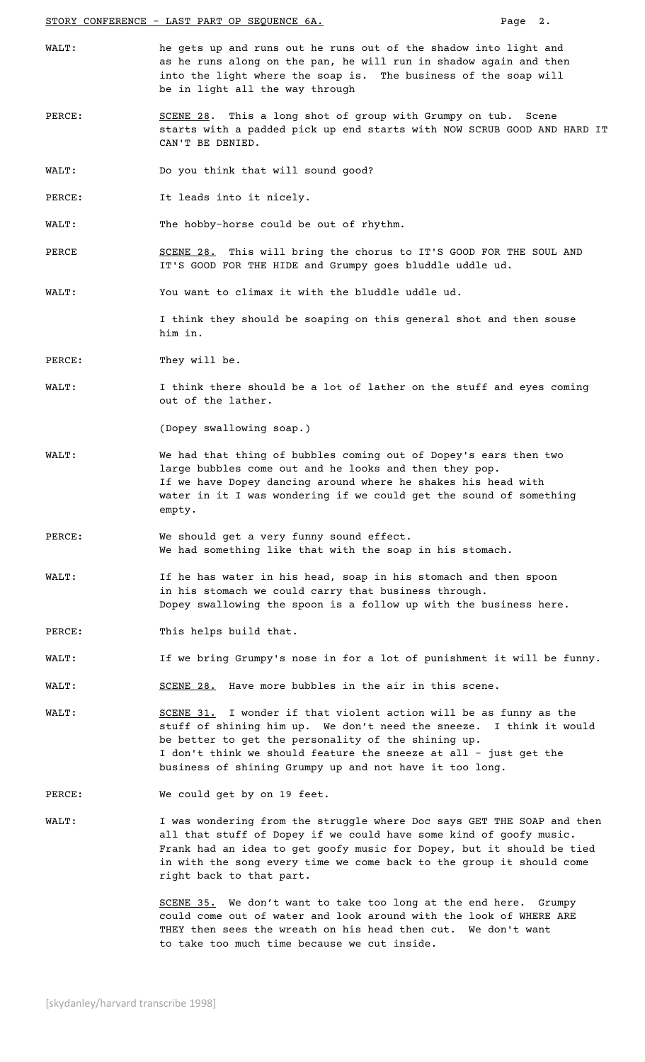STORY CONFERENCE - LAST PART OP SEQUENCE 6A. **Page 2.** 

- WALT: he gets up and runs out he runs out of the shadow into light and as he runs along on the pan, he will run in shadow again and then into the light where the soap is. The business of the soap will be in light all the way through
- PERCE: SCENE 28. This a long shot of group with Grumpy on tub. Scene starts with a padded pick up end starts with NOW SCRUB GOOD AND HARD IT CAN'T BE DENIED.
- WALT: Do you think that will sound good?
- PERCE: It leads into it nicely.
- WALT: The hobby-horse could be out of rhythm.
- PERCE SCENE 28. This will bring the chorus to IT'S GOOD FOR THE SOUL AND IT'S GOOD FOR THE HIDE and Grumpy goes bluddle uddle ud.
- WALT: You want to climax it with the bluddle uddle ud.

I think they should be soaping on this general shot and then souse him in.

- PERCE: They will be.
- WALT: I think there should be a lot of lather on the stuff and eyes coming out of the lather.

(Dopey swallowing soap.)

- WALT: We had that thing of bubbles coming out of Dopey's ears then two large bubbles come out and he looks and then they pop. If we have Dopey dancing around where he shakes his head with water in it I was wondering if we could get the sound of something empty.
- PERCE: We should get a very funny sound effect. We had something like that with the soap in his stomach.
- WALT: If he has water in his head, soap in his stomach and then spoon in his stomach we could carry that business through. Dopey swallowing the spoon is a follow up with the business here.
- PERCE: This helps build that.
- WALT: If we bring Grumpy's nose in for a lot of punishment it will be funny.
- WALT: SCENE 28. Have more bubbles in the air in this scene.
- WALT: SCENE 31. I wonder if that violent action will be as funny as the stuff of shining him up. We don't need the sneeze. I think it would be better to get the personality of the shining up. I don't think we should feature the sneeze at all - just get the business of shining Grumpy up and not have it too long.
- PERCE: We could get by on 19 feet.
- WALT: I was wondering from the struggle where Doc says GET THE SOAP and then all that stuff of Dopey if we could have some kind of goofy music. Frank had an idea to get goofy music for Dopey, but it should be tied in with the song every time we come back to the group it should come right back to that part.

SCENE 35. We don't want to take too long at the end here. Grumpy could come out of water and look around with the look of WHERE ARE THEY then sees the wreath on his head then cut. We don't want to take too much time because we cut inside.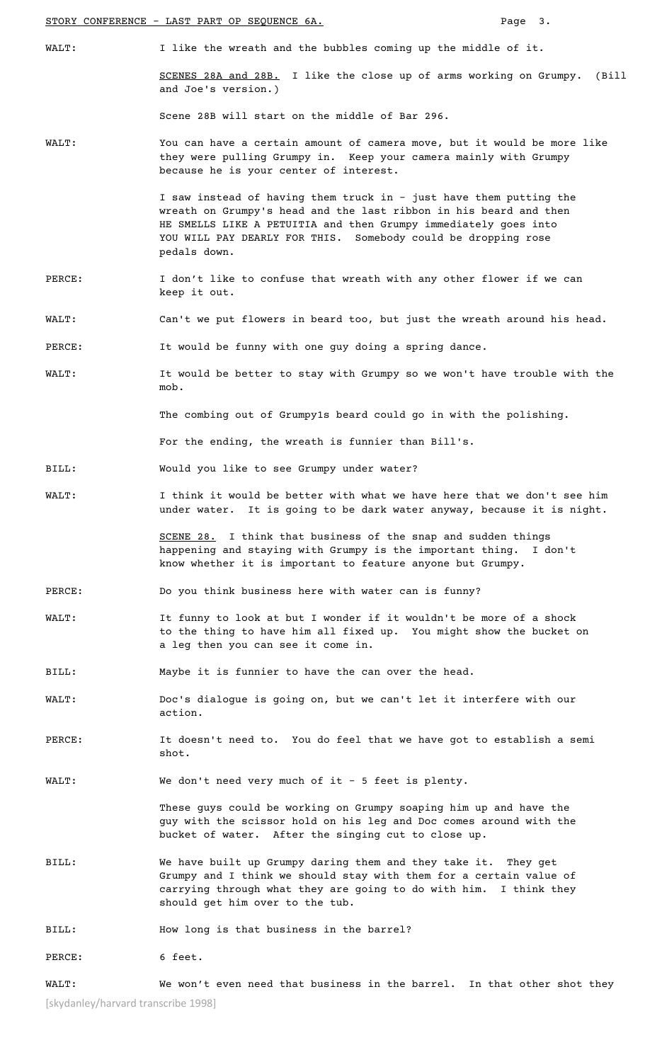STORY CONFERENCE - LAST PART OP SEQUENCE 6A. **Page 3.** 

and Joe's version.)

WALT: I like the wreath and the bubbles coming up the middle of it. SCENES 28A and 28B. I like the close up of arms working on Grumpy. (Bill

Scene 28B will start on the middle of Bar 296.

WALT: You can have a certain amount of camera move, but it would be more like they were pulling Grumpy in. Keep your camera mainly with Grumpy because he is your center of interest.

> I saw instead of having them truck in - just have them putting the wreath on Grumpy's head and the last ribbon in his beard and then HE SMELLS LIKE A PETUITIA and then Grumpy immediately goes into YOU WILL PAY DEARLY FOR THIS. Somebody could be dropping rose pedals down.

- PERCE: I don't like to confuse that wreath with any other flower if we can keep it out.
- WALT: Can't we put flowers in beard too, but just the wreath around his head.
- PERCE: It would be funny with one guy doing a spring dance.
- WALT: It would be better to stay with Grumpy so we won't have trouble with the mob.

The combing out of Grumpy1s beard could go in with the polishing.

For the ending, the wreath is funnier than Bill's.

- BILL: Would you like to see Grumpy under water?
- WALT: I think it would be better with what we have here that we don't see him under water. It is going to be dark water anyway, because it is night.

SCENE 28. I think that business of the snap and sudden things happening and staying with Grumpy is the important thing. I don't know whether it is important to feature anyone but Grumpy.

- PERCE: Do you think business here with water can is funny?
- WALT: It funny to look at but I wonder if it wouldn't be more of a shock to the thing to have him all fixed up. You might show the bucket on a leg then you can see it come in.
- BILL: Maybe it is funnier to have the can over the head.
- WALT: Doc's dialogue is going on, but we can't let it interfere with our action.
- PERCE: It doesn't need to. You do feel that we have got to establish a semi shot.

WALT: We don't need very much of it - 5 feet is plenty.

These guys could be working on Grumpy soaping him up and have the guy with the scissor hold on his leg and Doc comes around with the bucket of water. After the singing cut to close up.

BILL: We have built up Grumpy daring them and they take it. They get Grumpy and I think we should stay with them for a certain value of carrying through what they are going to do with him. I think they should get him over to the tub.

BILL: How long is that business in the barrel?

PERCE: 6 feet.

[skydanley/harvard transcribe 1998] WALT: We won't even need that business in the barrel. In that other shot they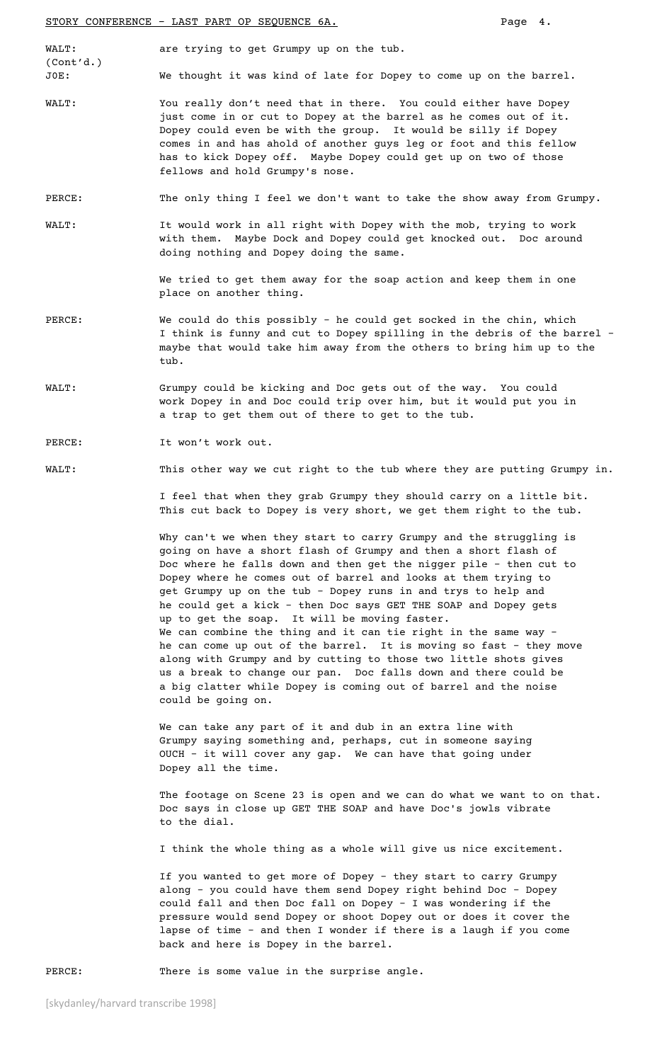WALT: are trying to get Grumpy up on the tub. (Cont'd.) J0E: We thought it was kind of late for Dopey to come up on the barrel.

- WALT: You really don't need that in there. You could either have Dopey just come in or cut to Dopey at the barrel as he comes out of it. Dopey could even be with the group. It would be silly if Dopey comes in and has ahold of another guys leg or foot and this fellow has to kick Dopey off. Maybe Dopey could get up on two of those fellows and hold Grumpy's nose.
- PERCE: The only thing I feel we don't want to take the show away from Grumpy.
- WALT: It would work in all right with Dopey with the mob, trying to work with them. Maybe Dock and Dopey could get knocked out. Doc around doing nothing and Dopey doing the same.

We tried to get them away for the soap action and keep them in one place on another thing.

- PERCE: We could do this possibly he could get socked in the chin, which I think is funny and cut to Dopey spilling in the debris of the barrel – maybe that would take him away from the others to bring him up to the tub.
- WALT: Grumpy could be kicking and Doc gets out of the way. You could work Dopey in and Doc could trip over him, but it would put you in a trap to get them out of there to get to the tub.

### PERCE: It won't work out.

## WALT: This other way we cut right to the tub where they are putting Grumpy in.

I feel that when they grab Grumpy they should carry on a little bit. This cut back to Dopey is very short, we get them right to the tub.

Why can't we when they start to carry Grumpy and the struggling is going on have a short flash of Grumpy and then a short flash of Doc where he falls down and then get the nigger pile - then cut to Dopey where he comes out of barrel and looks at them trying to get Grumpy up on the tub - Dopey runs in and trys to help and he could get a kick - then Doc says GET THE SOAP and Dopey gets up to get the soap. It will be moving faster. We can combine the thing and it can tie right in the same way – he can come up out of the barrel. It is moving so fast - they move along with Grumpy and by cutting to those two little shots gives us a break to change our pan. Doc falls down and there could be a big clatter while Dopey is coming out of barrel and the noise could be going on.

We can take any part of it and dub in an extra line with Grumpy saying something and, perhaps, cut in someone saying OUCH - it will cover any gap. We can have that going under Dopey all the time.

The footage on Scene 23 is open and we can do what we want to on that. Doc says in close up GET THE SOAP and have Doc's jowls vibrate to the dial.

I think the whole thing as a whole will give us nice excitement.

If you wanted to get more of Dopey - they start to carry Grumpy along - you could have them send Dopey right behind Doc - Dopey could fall and then Doc fall on Dopey - I was wondering if the pressure would send Dopey or shoot Dopey out or does it cover the lapse of time - and then I wonder if there is a laugh if you come back and here is Dopey in the barrel.

PERCE: There is some value in the surprise angle.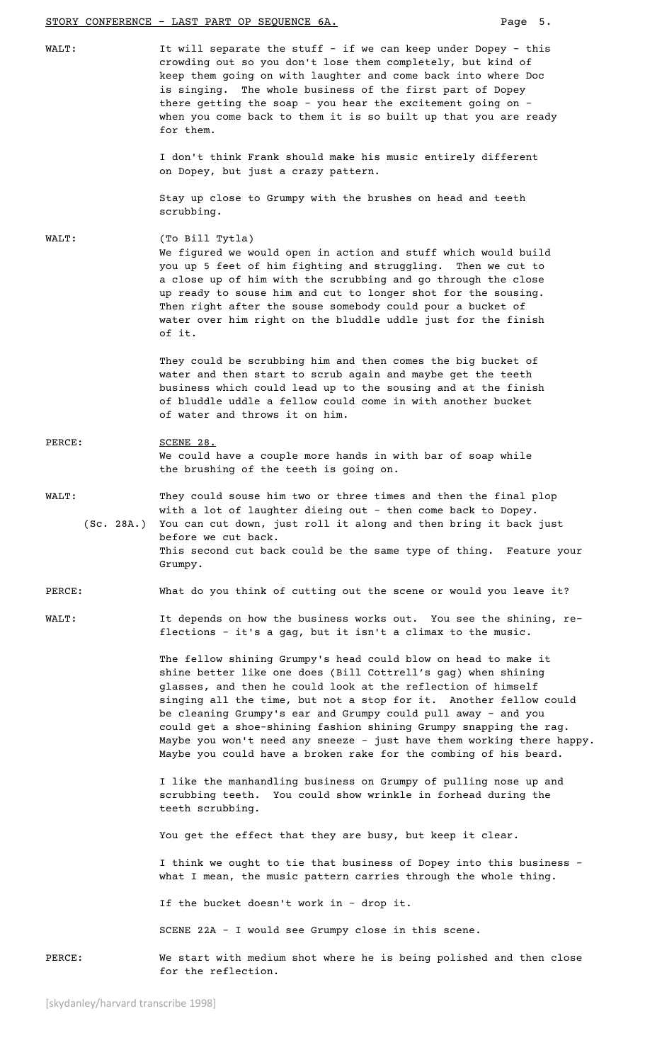#### STORY CONFERENCE - LAST PART OP SEQUENCE 6A. Page 5.

WALT: It will separate the stuff - if we can keep under Dopey - this crowding out so you don't lose them completely, but kind of keep them going on with laughter and come back into where Doc is singing. The whole business of the first part of Dopey there getting the soap - you hear the excitement going on – when you come back to them it is so built up that you are ready for them.

> I don't think Frank should make his music entirely different on Dopey, but just a crazy pattern.

Stay up close to Grumpy with the brushes on head and teeth scrubbing.

WALT: (To Bill Tytla) We figured we would open in action and stuff which would build you up 5 feet of him fighting and struggling. Then we cut to a close up of him with the scrubbing and go through the close up ready to souse him and cut to longer shot for the sousing. Then right after the souse somebody could pour a bucket of water over him right on the bluddle uddle just for the finish of it.

> They could be scrubbing him and then comes the big bucket of water and then start to scrub again and maybe get the teeth business which could lead up to the sousing and at the finish of bluddle uddle a fellow could come in with another bucket of water and throws it on him.

- PERCE: SCENE 28. We could have a couple more hands in with bar of soap while the brushing of the teeth is going on.
- WALT: They could souse him two or three times and then the final plop with a lot of laughter dieing out - then come back to Dopey. (Sc. 28A.) You can cut down, just roll it along and then bring it back just before we cut back. This second cut back could be the same type of thing. Feature your Grumpy.

#### PERCE: What do you think of cutting out the scene or would you leave it?

WALT: The depends on how the business works out. You see the shining, reflections - it's a gag, but it isn't a climax to the music.

> The fellow shining Grumpy's head could blow on head to make it shine better like one does (Bill Cottrell's gag) when shining glasses, and then he could look at the reflection of himself singing all the time, but not a stop for it. Another fellow could be cleaning Grumpy's ear and Grumpy could pull away - and you could get a shoe-shining fashion shining Grumpy snapping the rag. Maybe you won't need any sneeze - just have them working there happy. Maybe you could have a broken rake for the combing of his beard.

I like the manhandling business on Grumpy of pulling nose up and scrubbing teeth. You could show wrinkle in forhead during the teeth scrubbing.

You get the effect that they are busy, but keep it clear.

I think we ought to tie that business of Dopey into this business – what I mean, the music pattern carries through the whole thing.

If the bucket doesn't work in – drop it.

SCENE 22A – I would see Grumpy close in this scene.

PERCE: We start with medium shot where he is being polished and then close for the reflection.